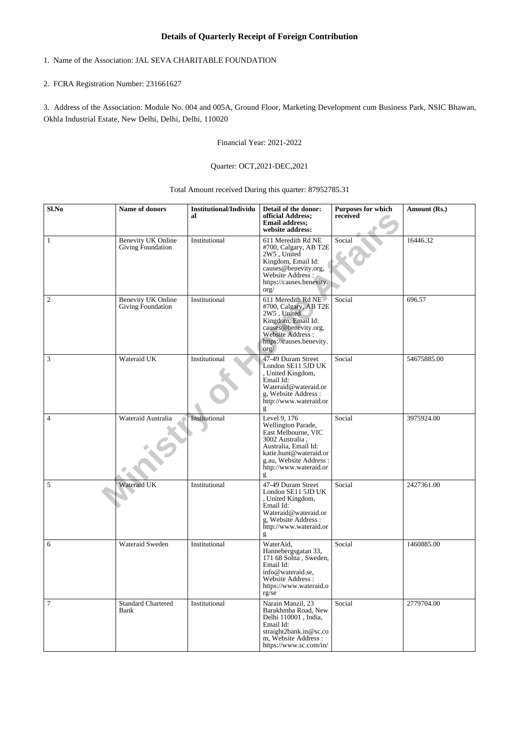## **Details of Quarterly Receipt of Foreign Contribution**

# 1. Name of the Association: JAL SEVA CHARITABLE FOUNDATION

### 2. FCRA Registration Number: 231661627

3. Address of the Association: Module No. 004 and 005A, Ground Floor, Marketing Development cum Business Park, NSIC Bhawan, Okhla Industrial Estate, New Delhi, Delhi, Delhi, 110020

Financial Year: 2021-2022

### Quarter: OCT,2021-DEC,2021

### Total Amount received During this quarter: 87952785.31

| Sl.No          | Name of donors                                 | <b>Institutional/Individu</b><br>al | Detail of the donor:<br>official Address;<br><b>Email address;</b><br>website address:                                                                                                  | <b>Purposes for which</b><br>received | Amount (Rs.) |
|----------------|------------------------------------------------|-------------------------------------|-----------------------------------------------------------------------------------------------------------------------------------------------------------------------------------------|---------------------------------------|--------------|
| $\mathbf{1}$   | <b>Benevity UK Online</b><br>Giving Foundation | Institutional                       | 611 Meredith Rd NE<br>#700, Calgary, AB T2E<br>2W5, United<br>Kingdom, Email Id:<br>causes@benevity.org,<br>Website Address:<br>https://causes.benevity.<br>$\text{org}/$               | Social                                | 16446.32     |
| $\sqrt{2}$     | <b>Benevity UK Online</b><br>Giving Foundation | Institutional                       | 611 Meredith Rd NE<br>#700, Calgary, AB T2E<br>2W5, United<br>Kingdom, Email Id:<br>causes@benevity.org,<br>Website Address:<br>https://causes.benevity.<br>$\text{org}/$               | Social                                | 696.57       |
| $\sqrt{3}$     | Wateraid UK                                    | Institutional                       | 47-49 Duram Street<br>London SE11 5JD UK<br>, United Kingdom,<br>Email Id:<br>Wateraid@wateraid.or<br>g, Website Address:<br>http://www.wateraid.or<br>g                                | Social                                | 54675885.00  |
| $\overline{4}$ | Wateraid Australia                             | Institutional                       | Level 9, 176<br>Wellington Parade,<br>East Melbourne, VIC<br>3002 Australia,<br>Australia, Email Id:<br>katie.hunt@wateraid.or<br>g.au, Website Address:<br>http://www.wateraid.or<br>g | Social                                | 3975924.00   |
| $\overline{5}$ | Wateraid UK                                    | Institutional                       | 47-49 Duram Street<br>London SE11 5JD UK<br>, United Kingdom,<br>Email Id:<br>Wateraid@wateraid.or<br>g, Website Address :<br>http://www.wateraid.or<br>g                               | Social                                | 2427361.00   |
| 6              | Wateraid Sweden                                | Institutional                       | WaterAid,<br>Hannebergsgatan 33,<br>171 68 Solna, Sweden,<br>Email Id:<br>info@wateraid.se,<br>Website Address:<br>https://www.wateraid.o<br>$rg\bar{g}$                                | Social                                | 1460885.00   |
| 7              | <b>Standard Chartered</b><br>Bank              | Institutional                       | Narain Manzil, 23<br>Barakhmba Road, New<br>Delhi 110001, India,<br>Email Id:<br>straight2bank.in@sc.co<br>m, Website Address :<br>https://www.sc.com/in/                               | Social                                | 2779704.00   |